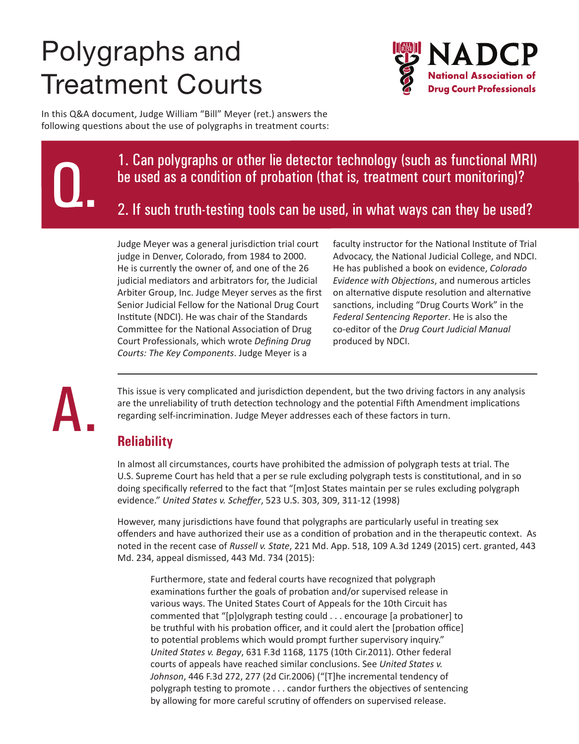# Polygraphs and Treatment Courts



In this Q&A document, Judge William "Bill" Meyer (ret.) answers the following questions about the use of polygraphs in treatment courts:

> 1. Can polygraphs or other lie detector technology (such as functional MRI) be used as a condition of probation (that is, treatment court monitoring)?

2. If such truth-testing tools can be used, in what ways can they be used?

Judge Meyer was a general jurisdiction trial court judge in Denver, Colorado, from 1984 to 2000. He is currently the owner of, and one of the 26 judicial mediators and arbitrators for, the Judicial Arbiter Group, Inc. Judge Meyer serves as the first Senior Judicial Fellow for the National Drug Court Institute (NDCI). He was chair of the Standards Committee for the National Association of Drug Court Professionals, which wrote *Defining Drug Courts: The Key Components*. Judge Meyer is a

faculty instructor for the National Institute of Trial Advocacy, the National Judicial College, and NDCI. He has published a book on evidence, *Colorado Evidence with Objections*, and numerous articles on alternative dispute resolution and alternative sanctions, including "Drug Courts Work" in the *Federal Sentencing Reporter*. He is also the co-editor of the *Drug Court Judicial Manual* produced by NDCI.

A.

Q.

This issue is very complicated and jurisdiction dependent, but the two driving factors in any analysis are the unreliability of truth detection technology and the potential Fifth Amendment implications regarding self-incrimination. Judge Meyer addresses each of these factors in turn.

## **Reliability**

In almost all circumstances, courts have prohibited the admission of polygraph tests at trial. The U.S. Supreme Court has held that a per se rule excluding polygraph tests is constitutional, and in so doing specifically referred to the fact that "[m]ost States maintain per se rules excluding polygraph evidence." *United States v. Scheffer*, 523 U.S. 303, 309, 311-12 (1998)

However, many jurisdictions have found that polygraphs are particularly useful in treating sex offenders and have authorized their use as a condition of probation and in the therapeutic context. As noted in the recent case of *Russell v. State*, 221 Md. App. 518, 109 A.3d 1249 (2015) cert. granted, 443 Md. 234, appeal dismissed, 443 Md. 734 (2015):

Furthermore, state and federal courts have recognized that polygraph examinations further the goals of probation and/or supervised release in various ways. The United States Court of Appeals for the 10th Circuit has commented that "[p]olygraph testing could . . . encourage [a probationer] to be truthful with his probation officer, and it could alert the [probation office] to potential problems which would prompt further supervisory inquiry." *United States v. Begay*, 631 F.3d 1168, 1175 (10th Cir.2011). Other federal courts of appeals have reached similar conclusions. See *United States v. Johnson*, 446 F.3d 272, 277 (2d Cir.2006) ("[T]he incremental tendency of polygraph testing to promote . . . candor furthers the objectives of sentencing by allowing for more careful scrutiny of offenders on supervised release.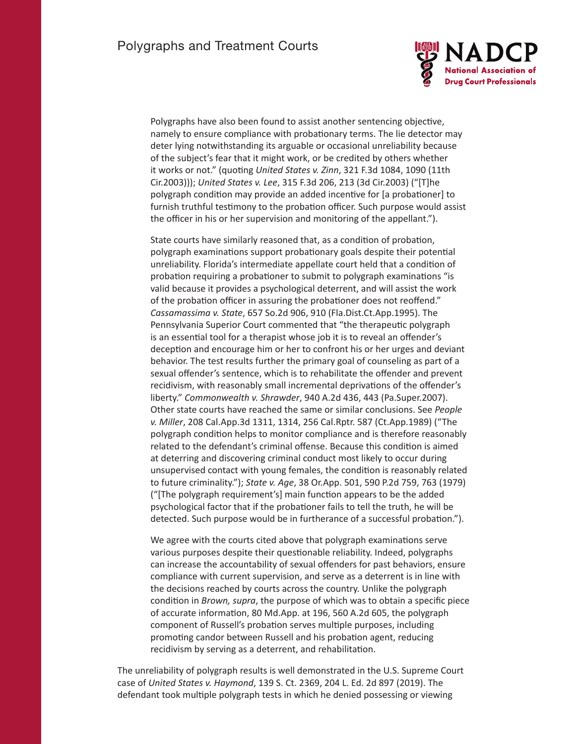

Polygraphs have also been found to assist another sentencing objective, namely to ensure compliance with probationary terms. The lie detector may deter lying notwithstanding its arguable or occasional unreliability because of the subject's fear that it might work, or be credited by others whether it works or not." (quoting *United States v. Zinn*, 321 F.3d 1084, 1090 (11th Cir.2003))); *United States v. Lee*, 315 F.3d 206, 213 (3d Cir.2003) ("[T]he polygraph condition may provide an added incentive for [a probationer] to furnish truthful testimony to the probation officer. Such purpose would assist the officer in his or her supervision and monitoring of the appellant.").

State courts have similarly reasoned that, as a condition of probation, polygraph examinations support probationary goals despite their potential unreliability. Florida's intermediate appellate court held that a condition of probation requiring a probationer to submit to polygraph examinations "is valid because it provides a psychological deterrent, and will assist the work of the probation officer in assuring the probationer does not reoffend." *Cassamassima v. State*, 657 So.2d 906, 910 (Fla.Dist.Ct.App.1995). The Pennsylvania Superior Court commented that "the therapeutic polygraph is an essential tool for a therapist whose job it is to reveal an offender's deception and encourage him or her to confront his or her urges and deviant behavior. The test results further the primary goal of counseling as part of a sexual offender's sentence, which is to rehabilitate the offender and prevent recidivism, with reasonably small incremental deprivations of the offender's liberty." *Commonwealth v. Shrawder*, 940 A.2d 436, 443 (Pa.Super.2007). Other state courts have reached the same or similar conclusions. See *People v. Miller*, 208 Cal.App.3d 1311, 1314, 256 Cal.Rptr. 587 (Ct.App.1989) ("The polygraph condition helps to monitor compliance and is therefore reasonably related to the defendant's criminal offense. Because this condition is aimed at deterring and discovering criminal conduct most likely to occur during unsupervised contact with young females, the condition is reasonably related to future criminality."); *State v. Age*, 38 Or.App. 501, 590 P.2d 759, 763 (1979) ("[The polygraph requirement's] main function appears to be the added psychological factor that if the probationer fails to tell the truth, he will be detected. Such purpose would be in furtherance of a successful probation.").

We agree with the courts cited above that polygraph examinations serve various purposes despite their questionable reliability. Indeed, polygraphs can increase the accountability of sexual offenders for past behaviors, ensure compliance with current supervision, and serve as a deterrent is in line with the decisions reached by courts across the country. Unlike the polygraph condition in *Brown, supra*, the purpose of which was to obtain a specific piece of accurate information, 80 Md.App. at 196, 560 A.2d 605, the polygraph component of Russell's probation serves multiple purposes, including promoting candor between Russell and his probation agent, reducing recidivism by serving as a deterrent, and rehabilitation.

The unreliability of polygraph results is well demonstrated in the U.S. Supreme Court case of *United States v. Haymond*, 139 S. Ct. 2369, 204 L. Ed. 2d 897 (2019). The defendant took multiple polygraph tests in which he denied possessing or viewing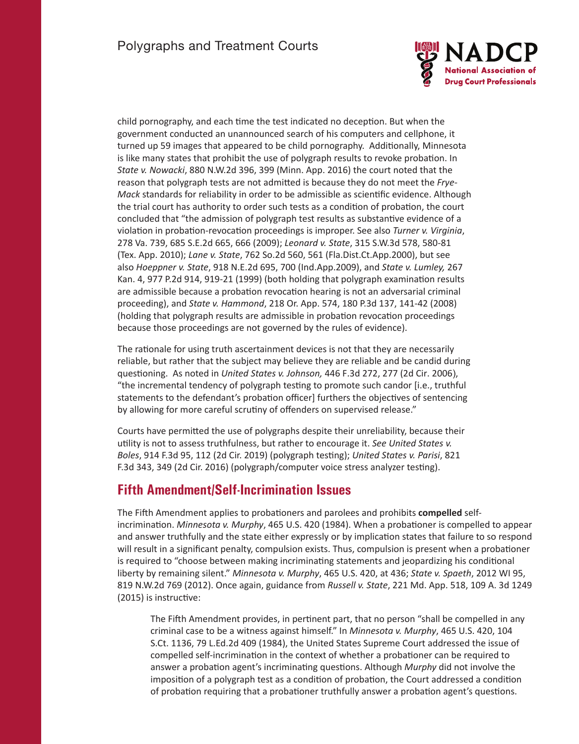

child pornography, and each time the test indicated no deception. But when the government conducted an unannounced search of his computers and cellphone, it turned up 59 images that appeared to be child pornography. Additionally, Minnesota is like many states that prohibit the use of polygraph results to revoke probation. In *State v. Nowacki*, 880 N.W.2d 396, 399 (Minn. App. 2016) the court noted that the reason that polygraph tests are not admitted is because they do not meet the *Frye-Mack* standards for reliability in order to be admissible as scientific evidence. Although the trial court has authority to order such tests as a condition of probation, the court concluded that "the admission of polygraph test results as substantive evidence of a violation in probation-revocation proceedings is improper. See also *Turner v. Virginia*, 278 Va. 739, 685 S.E.2d 665, 666 (2009); *Leonard v. State*, 315 S.W.3d 578, 580-81 (Tex. App. 2010); *Lane v. State*, 762 So.2d 560, 561 (Fla.Dist.Ct.App.2000), but see also *Hoeppner v. State*, 918 N.E.2d 695, 700 (Ind.App.2009), and *State v. Lumley,* 267 Kan. 4, 977 P.2d 914, 919-21 (1999) (both holding that polygraph examination results are admissible because a probation revocation hearing is not an adversarial criminal proceeding), and *State v. Hammond*, 218 Or. App. 574, 180 P.3d 137, 141-42 (2008) (holding that polygraph results are admissible in probation revocation proceedings because those proceedings are not governed by the rules of evidence).

The rationale for using truth ascertainment devices is not that they are necessarily reliable, but rather that the subject may believe they are reliable and be candid during questioning. As noted in *United States v. Johnson,* 446 F.3d 272, 277 (2d Cir. 2006), "the incremental tendency of polygraph testing to promote such candor [i.e., truthful statements to the defendant's probation officer] furthers the objectives of sentencing by allowing for more careful scrutiny of offenders on supervised release."

Courts have permitted the use of polygraphs despite their unreliability, because their utility is not to assess truthfulness, but rather to encourage it. *See United States v. Boles*, 914 F.3d 95, 112 (2d Cir. 2019) (polygraph testing); *United States v. Parisi*, 821 F.3d 343, 349 (2d Cir. 2016) (polygraph/computer voice stress analyzer testing).

#### **Fifth Amendment/Self-Incrimination Issues**

The Fifth Amendment applies to probationers and parolees and prohibits **compelled** selfincrimination. *Minnesota v. Murphy*, 465 U.S. 420 (1984). When a probationer is compelled to appear and answer truthfully and the state either expressly or by implication states that failure to so respond will result in a significant penalty, compulsion exists. Thus, compulsion is present when a probationer is required to "choose between making incriminating statements and jeopardizing his conditional liberty by remaining silent." *Minnesota v. Murphy*, 465 U.S. 420, at 436; *State v. Spaeth*, 2012 WI 95, 819 N.W.2d 769 (2012). Once again, guidance from *Russell v. State*, 221 Md. App. 518, 109 A. 3d 1249 (2015) is instructive:

The Fifth Amendment provides, in pertinent part, that no person "shall be compelled in any criminal case to be a witness against himself." In *Minnesota v. Murphy*, 465 U.S. 420, 104 S.Ct. 1136, 79 L.Ed.2d 409 (1984), the United States Supreme Court addressed the issue of compelled self-incrimination in the context of whether a probationer can be required to answer a probation agent's incriminating questions. Although *Murphy* did not involve the imposition of a polygraph test as a condition of probation, the Court addressed a condition of probation requiring that a probationer truthfully answer a probation agent's questions.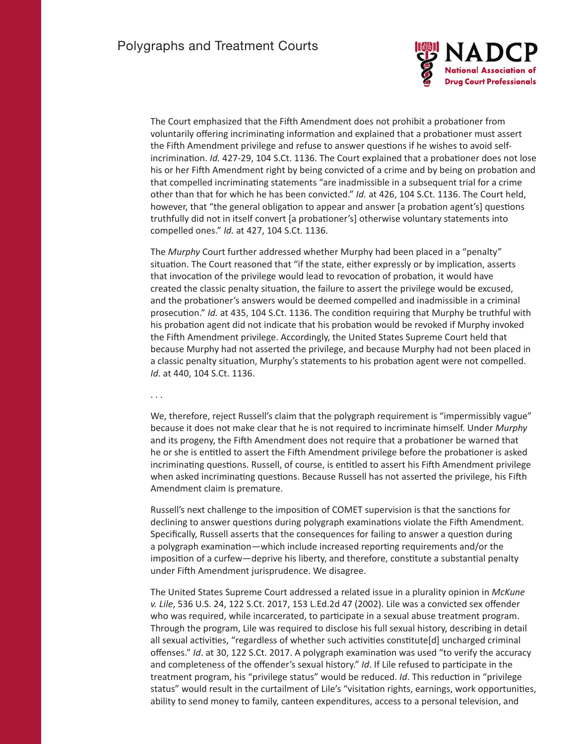

The Court emphasized that the Fifth Amendment does not prohibit a probationer from voluntarily offering incriminating information and explained that a probationer must assert the Fifth Amendment privilege and refuse to answer questions if he wishes to avoid selfincrimination. *Id.* 427-29, 104 S.Ct. 1136. The Court explained that a probationer does not lose his or her Fifth Amendment right by being convicted of a crime and by being on probation and that compelled incriminating statements "are inadmissible in a subsequent trial for a crime other than that for which he has been convicted." *Id.* at 426, 104 S.Ct. 1136. The Court held, however, that "the general obligation to appear and answer [a probation agent's] questions truthfully did not in itself convert [a probationer's] otherwise voluntary statements into compelled ones." *Id.* at 427, 104 S.Ct. 1136.

The *Murphy* Court further addressed whether Murphy had been placed in a "penalty" situation. The Court reasoned that "if the state, either expressly or by implication, asserts that invocation of the privilege would lead to revocation of probation, it would have created the classic penalty situation, the failure to assert the privilege would be excused, and the probationer's answers would be deemed compelled and inadmissible in a criminal prosecution." *Id.* at 435, 104 S.Ct. 1136. The condition requiring that Murphy be truthful with his probation agent did not indicate that his probation would be revoked if Murphy invoked the Fifth Amendment privilege. Accordingly, the United States Supreme Court held that because Murphy had not asserted the privilege, and because Murphy had not been placed in a classic penalty situation, Murphy's statements to his probation agent were not compelled. *Id*. at 440, 104 S.Ct. 1136.

. . .

We, therefore, reject Russell's claim that the polygraph requirement is "impermissibly vague" because it does not make clear that he is not required to incriminate himself. Under *Murphy* and its progeny, the Fifth Amendment does not require that a probationer be warned that he or she is entitled to assert the Fifth Amendment privilege before the probationer is asked incriminating questions. Russell, of course, is entitled to assert his Fifth Amendment privilege when asked incriminating questions. Because Russell has not asserted the privilege, his Fifth Amendment claim is premature.

Russell's next challenge to the imposition of COMET supervision is that the sanctions for declining to answer questions during polygraph examinations violate the Fifth Amendment. Specifically, Russell asserts that the consequences for failing to answer a question during a polygraph examination—which include increased reporting requirements and/or the imposition of a curfew—deprive his liberty, and therefore, constitute a substantial penalty under Fifth Amendment jurisprudence. We disagree.

The United States Supreme Court addressed a related issue in a plurality opinion in *McKune v. Lile*, 536 U.S. 24, 122 S.Ct. 2017, 153 L.Ed.2d 47 (2002). Lile was a convicted sex offender who was required, while incarcerated, to participate in a sexual abuse treatment program. Through the program, Lile was required to disclose his full sexual history, describing in detail all sexual activities, "regardless of whether such activities constitute[d] uncharged criminal offenses." *Id*. at 30, 122 S.Ct. 2017. A polygraph examination was used "to verify the accuracy and completeness of the offender's sexual history." *Id*. If Lile refused to participate in the treatment program, his "privilege status" would be reduced. *Id*. This reduction in "privilege status" would result in the curtailment of Lile's "visitation rights, earnings, work opportunities, ability to send money to family, canteen expenditures, access to a personal television, and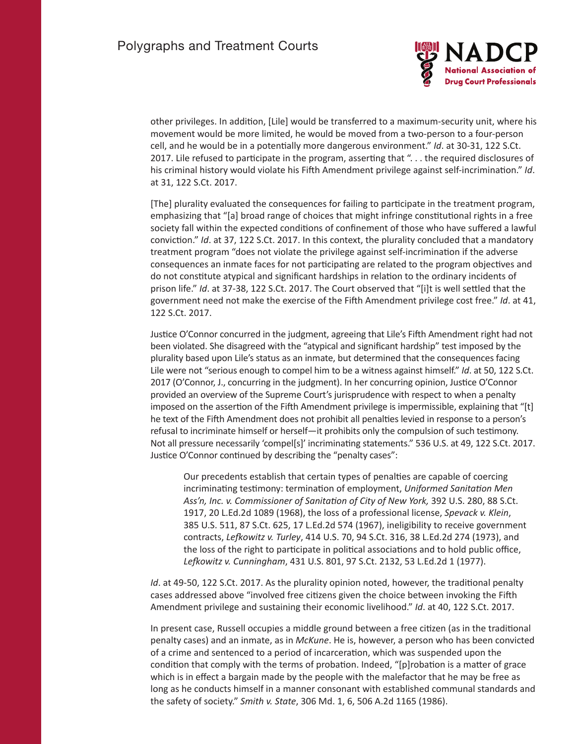

other privileges. In addition, [Lile] would be transferred to a maximum-security unit, where his movement would be more limited, he would be moved from a two-person to a four-person cell, and he would be in a potentially more dangerous environment." *Id*. at 30-31, 122 S.Ct. 2017. Lile refused to participate in the program, asserting that "... the required disclosures of his criminal history would violate his Fifth Amendment privilege against self-incrimination." *Id*. at 31, 122 S.Ct. 2017.

[The] plurality evaluated the consequences for failing to participate in the treatment program, emphasizing that "[a] broad range of choices that might infringe constitutional rights in a free society fall within the expected conditions of confinement of those who have suffered a lawful conviction." *Id*. at 37, 122 S.Ct. 2017. In this context, the plurality concluded that a mandatory treatment program "does not violate the privilege against self-incrimination if the adverse consequences an inmate faces for not participating are related to the program objectives and do not constitute atypical and significant hardships in relation to the ordinary incidents of prison life." *Id*. at 37-38, 122 S.Ct. 2017. The Court observed that "[i]t is well settled that the government need not make the exercise of the Fifth Amendment privilege cost free." *Id*. at 41, 122 S.Ct. 2017.

Justice O'Connor concurred in the judgment, agreeing that Lile's Fifth Amendment right had not been violated. She disagreed with the "atypical and significant hardship" test imposed by the plurality based upon Lile's status as an inmate, but determined that the consequences facing Lile were not "serious enough to compel him to be a witness against himself." *Id*. at 50, 122 S.Ct. 2017 (O'Connor, J., concurring in the judgment). In her concurring opinion, Justice O'Connor provided an overview of the Supreme Court's jurisprudence with respect to when a penalty imposed on the assertion of the Fifth Amendment privilege is impermissible, explaining that "[t] he text of the Fifth Amendment does not prohibit all penalties levied in response to a person's refusal to incriminate himself or herself—it prohibits only the compulsion of such testimony. Not all pressure necessarily 'compel[s]' incriminating statements." 536 U.S. at 49, 122 S.Ct. 2017. Justice O'Connor continued by describing the "penalty cases":

Our precedents establish that certain types of penalties are capable of coercing incriminating testimony: termination of employment, *Uniformed Sanitation Men Ass'n, Inc. v. Commissioner of Sanitation of City of New York,* 392 U.S. 280, 88 S.Ct. 1917, 20 L.Ed.2d 1089 (1968), the loss of a professional license, *Spevack v. Klein*, 385 U.S. 511, 87 S.Ct. 625, 17 L.Ed.2d 574 (1967), ineligibility to receive government contracts, *Lefkowitz v. Turley*, 414 U.S. 70, 94 S.Ct. 316, 38 L.Ed.2d 274 (1973), and the loss of the right to participate in political associations and to hold public office, *Lefkowitz v. Cunningham*, 431 U.S. 801, 97 S.Ct. 2132, 53 L.Ed.2d 1 (1977).

*Id*. at 49-50, 122 S.Ct. 2017. As the plurality opinion noted, however, the traditional penalty cases addressed above "involved free citizens given the choice between invoking the Fifth Amendment privilege and sustaining their economic livelihood." *Id*. at 40, 122 S.Ct. 2017.

In present case, Russell occupies a middle ground between a free citizen (as in the traditional penalty cases) and an inmate, as in *McKune*. He is, however, a person who has been convicted of a crime and sentenced to a period of incarceration, which was suspended upon the condition that comply with the terms of probation. Indeed, "[p]robation is a matter of grace which is in effect a bargain made by the people with the malefactor that he may be free as long as he conducts himself in a manner consonant with established communal standards and the safety of society." *Smith v. State*, 306 Md. 1, 6, 506 A.2d 1165 (1986).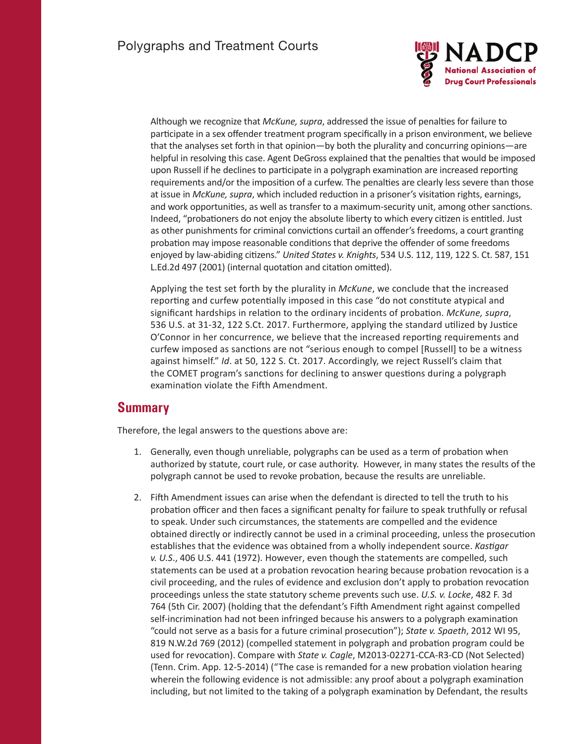

Although we recognize that *McKune, supra*, addressed the issue of penalties for failure to participate in a sex offender treatment program specifically in a prison environment, we believe that the analyses set forth in that opinion—by both the plurality and concurring opinions—are helpful in resolving this case. Agent DeGross explained that the penalties that would be imposed upon Russell if he declines to participate in a polygraph examination are increased reporting requirements and/or the imposition of a curfew. The penalties are clearly less severe than those at issue in *McKune, supra*, which included reduction in a prisoner's visitation rights, earnings, and work opportunities, as well as transfer to a maximum-security unit, among other sanctions. Indeed, "probationers do not enjoy the absolute liberty to which every citizen is entitled. Just as other punishments for criminal convictions curtail an offender's freedoms, a court granting probation may impose reasonable conditions that deprive the offender of some freedoms enjoyed by law-abiding citizens." *United States v. Knights*, 534 U.S. 112, 119, 122 S. Ct. 587, 151 L.Ed.2d 497 (2001) (internal quotation and citation omitted).

Applying the test set forth by the plurality in *McKune*, we conclude that the increased reporting and curfew potentially imposed in this case "do not constitute atypical and significant hardships in relation to the ordinary incidents of probation. *McKune, supra*, 536 U.S. at 31-32, 122 S.Ct. 2017. Furthermore, applying the standard utilized by Justice O'Connor in her concurrence, we believe that the increased reporting requirements and curfew imposed as sanctions are not "serious enough to compel [Russell] to be a witness against himself." *Id*. at 50, 122 S. Ct. 2017. Accordingly, we reject Russell's claim that the COMET program's sanctions for declining to answer questions during a polygraph examination violate the Fifth Amendment.

#### **Summary**

Therefore, the legal answers to the questions above are:

- 1. Generally, even though unreliable, polygraphs can be used as a term of probation when authorized by statute, court rule, or case authority. However, in many states the results of the polygraph cannot be used to revoke probation, because the results are unreliable.
- 2. Fifth Amendment issues can arise when the defendant is directed to tell the truth to his probation officer and then faces a significant penalty for failure to speak truthfully or refusal to speak. Under such circumstances, the statements are compelled and the evidence obtained directly or indirectly cannot be used in a criminal proceeding, unless the prosecution establishes that the evidence was obtained from a wholly independent source. *Kastigar v. U.S*., 406 U.S. 441 (1972). However, even though the statements are compelled, such statements can be used at a probation revocation hearing because probation revocation is a civil proceeding, and the rules of evidence and exclusion don't apply to probation revocation proceedings unless the state statutory scheme prevents such use. *U.S. v. Locke*, 482 F. 3d 764 (5th Cir. 2007) (holding that the defendant's Fifth Amendment right against compelled self-incrimination had not been infringed because his answers to a polygraph examination "could not serve as a basis for a future criminal prosecution"); *State v. Spaeth*, 2012 WI 95, 819 N.W.2d 769 (2012) (compelled statement in polygraph and probation program could be used for revocation). Compare with *State v. Cagle*, M2013-02271-CCA-R3-CD (Not Selected) (Tenn. Crim. App. 12-5-2014) ("The case is remanded for a new probation violation hearing wherein the following evidence is not admissible: any proof about a polygraph examination including, but not limited to the taking of a polygraph examination by Defendant, the results